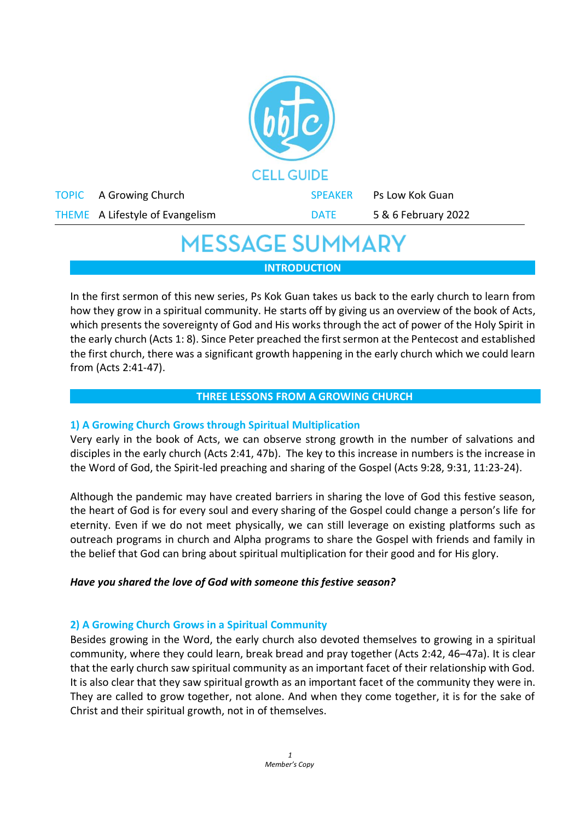

# **MESSAGE SUMMARY**

**INTRODUCTION**

In the first sermon of this new series, Ps Kok Guan takes us back to the early church to learn from how they grow in a spiritual community. He starts off by giving us an overview of the book of Acts, which presents the sovereignty of God and His works through the act of power of the Holy Spirit in the early church (Acts 1: 8). Since Peter preached the first sermon at the Pentecost and established the first church, there was a significant growth happening in the early church which we could learn from (Acts 2:41-47).

# **THREE LESSONS FROM A GROWING CHURCH**

# **1) A Growing Church Grows through Spiritual Multiplication**

Very early in the book of Acts, we can observe strong growth in the number of salvations and disciples in the early church (Acts 2:41, 47b). The key to this increase in numbers is the increase in the Word of God, the Spirit-led preaching and sharing of the Gospel (Acts 9:28, 9:31, 11:23-24).

Although the pandemic may have created barriers in sharing the love of God this festive season, the heart of God is for every soul and every sharing of the Gospel could change a person's life for eternity. Even if we do not meet physically, we can still leverage on existing platforms such as outreach programs in church and Alpha programs to share the Gospel with friends and family in the belief that God can bring about spiritual multiplication for their good and for His glory.

# *Have you shared the love of God with someone this festive season?*

# **2) A Growing Church Grows in a Spiritual Community**

Besides growing in the Word, the early church also devoted themselves to growing in a spiritual community, where they could learn, break bread and pray together (Acts 2:42, 46–47a). It is clear that the early church saw spiritual community as an important facet of their relationship with God. It is also clear that they saw spiritual growth as an important facet of the community they were in. They are called to grow together, not alone. And when they come together, it is for the sake of Christ and their spiritual growth, not in of themselves.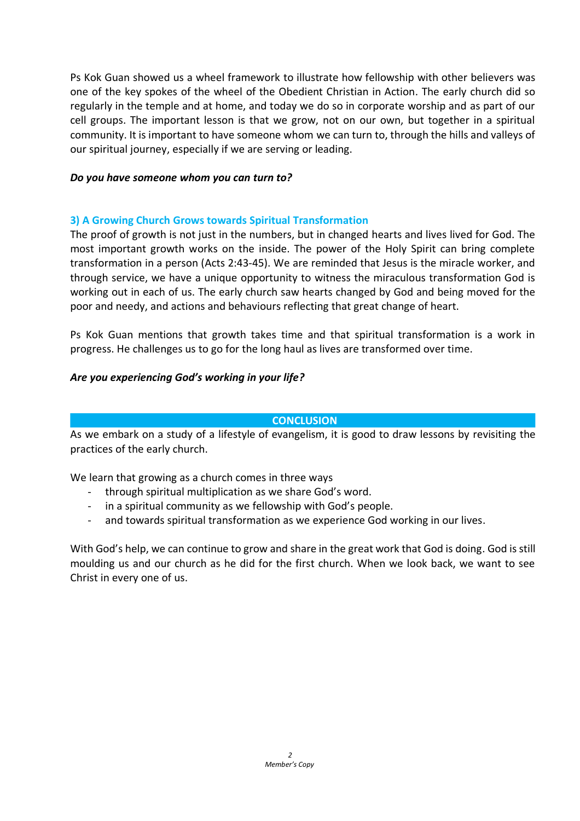Ps Kok Guan showed us a wheel framework to illustrate how fellowship with other believers was one of the key spokes of the wheel of the Obedient Christian in Action. The early church did so regularly in the temple and at home, and today we do so in corporate worship and as part of our cell groups. The important lesson is that we grow, not on our own, but together in a spiritual community. It is important to have someone whom we can turn to, through the hills and valleys of our spiritual journey, especially if we are serving or leading.

#### *Do you have someone whom you can turn to?*

#### **3) A Growing Church Grows towards Spiritual Transformation**

The proof of growth is not just in the numbers, but in changed hearts and lives lived for God. The most important growth works on the inside. The power of the Holy Spirit can bring complete transformation in a person (Acts 2:43-45). We are reminded that Jesus is the miracle worker, and through service, we have a unique opportunity to witness the miraculous transformation God is working out in each of us. The early church saw hearts changed by God and being moved for the poor and needy, and actions and behaviours reflecting that great change of heart.

Ps Kok Guan mentions that growth takes time and that spiritual transformation is a work in progress. He challenges us to go for the long haul as lives are transformed over time.

# *Are you experiencing God's working in your life?*

#### **CONCLUSION**

As we embark on a study of a lifestyle of evangelism, it is good to draw lessons by revisiting the practices of the early church.

We learn that growing as a church comes in three ways

- through spiritual multiplication as we share God's word.
- in a spiritual community as we fellowship with God's people.
- and towards spiritual transformation as we experience God working in our lives.

With God's help, we can continue to grow and share in the great work that God is doing. God is still moulding us and our church as he did for the first church. When we look back, we want to see Christ in every one of us.